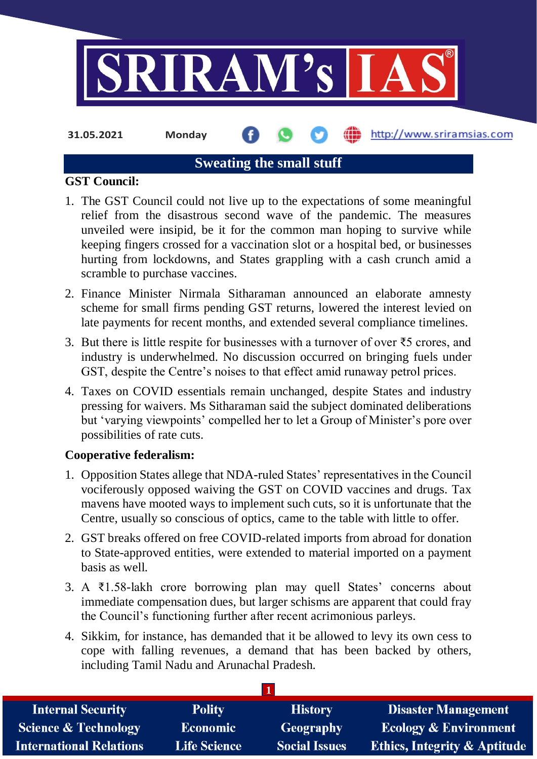

**31.05.2021 Monday**

http://www.sriramsias.com

## **Sweating the small stuff**

## **GST Council:**

- 1. The GST Council could not live up to the expectations of some meaningful relief from the disastrous second wave of the pandemic. The measures unveiled were insipid, be it for the common man hoping to survive while keeping fingers crossed for a vaccination slot or a hospital bed, or businesses hurting from lockdowns, and States grappling with a cash crunch amid a scramble to purchase vaccines.
- 2. Finance Minister Nirmala Sitharaman announced an elaborate amnesty scheme for small firms pending GST returns, lowered the interest levied on late payments for recent months, and extended several compliance timelines.
- 3. But there is little respite for businesses with a turnover of over ₹5 crores, and industry is underwhelmed. No discussion occurred on bringing fuels under GST, despite the Centre's noises to that effect amid runaway petrol prices.
- 4. Taxes on COVID essentials remain unchanged, despite States and industry pressing for waivers. Ms Sitharaman said the subject dominated deliberations but 'varying viewpoints' compelled her to let a Group of Minister's pore over possibilities of rate cuts.

## **Cooperative federalism:**

- 1. Opposition States allege that NDA-ruled States' representatives in the Council vociferously opposed waiving the GST on COVID vaccines and drugs. Tax mavens have mooted ways to implement such cuts, so it is unfortunate that the Centre, usually so conscious of optics, came to the table with little to offer.
- 2. GST breaks offered on free COVID-related imports from abroad for donation to State-approved entities, were extended to material imported on a payment basis as well.
- 3. A ₹1.58-lakh crore borrowing plan may quell States' concerns about immediate compensation dues, but larger schisms are apparent that could fray the Council's functioning further after recent acrimonious parleys.
- 4. Sikkim, for instance, has demanded that it be allowed to levy its own cess to cope with falling revenues, a demand that has been backed by others, including Tamil Nadu and Arunachal Pradesh.

| <b>Internal Security</b>        | <b>Polity</b>       | <b>History</b>       | <b>Disaster Management</b>              |
|---------------------------------|---------------------|----------------------|-----------------------------------------|
| <b>Science &amp; Technology</b> | <b>Economic</b>     | Geography            | <b>Ecology &amp; Environment</b>        |
| <b>International Relations</b>  | <b>Life Science</b> | <b>Social Issues</b> | <b>Ethics, Integrity &amp; Aptitude</b> |